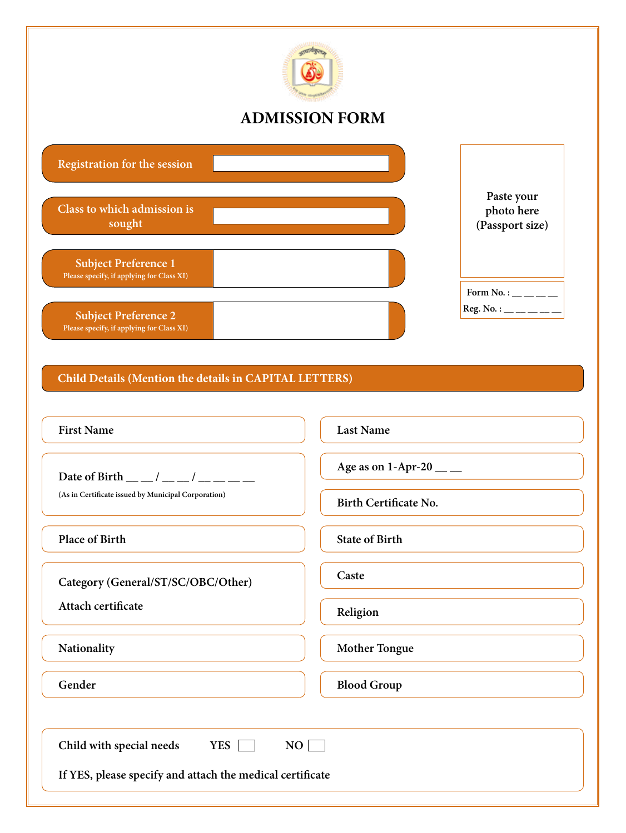

# **ADMISSION FORM**

| <b>Registration for the session</b>                                      |                                             |
|--------------------------------------------------------------------------|---------------------------------------------|
| Class to which admission is<br>sought                                    | Paste your<br>photo here<br>(Passport size) |
| <b>Subject Preference 1</b><br>Please specify, if applying for Class XI) | Form No. : $\_\_$ $\_\_$                    |
| <b>Subject Preference 2</b><br>Please specify, if applying for Class XI) | $Res. No.:$ ________                        |

# **Child Details (Mention the details in CAPITAL LETTERS)**

| <b>First Name</b>                                         | <b>Last Name</b>          |  |  |
|-----------------------------------------------------------|---------------------------|--|--|
| Date of Birth __ _/ __ _/ __ _ _ _                        | Age as on 1-Apr-20 $\_\_$ |  |  |
| (As in Certificate issued by Municipal Corporation)       | Birth Certificate No.     |  |  |
| <b>Place of Birth</b>                                     | <b>State of Birth</b>     |  |  |
| Category (General/ST/SC/OBC/Other)                        | Caste                     |  |  |
| Attach certificate                                        | Religion                  |  |  |
| Nationality                                               | <b>Mother Tongue</b>      |  |  |
| Gender                                                    | <b>Blood Group</b>        |  |  |
|                                                           |                           |  |  |
| YES <b>Fig.</b><br>Child with special needs<br>NO         |                           |  |  |
| If YES, please specify and attach the medical certificate |                           |  |  |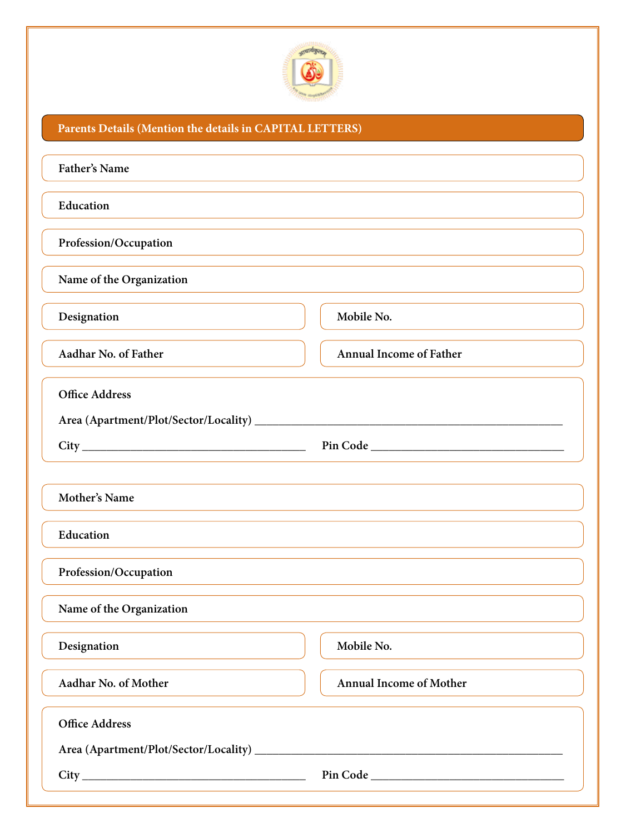

## **Parents Details (Mention the details in CAPITAL LETTERS)**

| Father's Name                                                                                                        |                                |  |  |
|----------------------------------------------------------------------------------------------------------------------|--------------------------------|--|--|
| Education                                                                                                            |                                |  |  |
| Profession/Occupation                                                                                                |                                |  |  |
| Name of the Organization                                                                                             |                                |  |  |
| Designation                                                                                                          | Mobile No.                     |  |  |
| Aadhar No. of Father                                                                                                 | <b>Annual Income of Father</b> |  |  |
| <b>Office Address</b>                                                                                                |                                |  |  |
|                                                                                                                      |                                |  |  |
| Mother's Name                                                                                                        |                                |  |  |
| Education                                                                                                            |                                |  |  |
| Profession/Occupation                                                                                                |                                |  |  |
| Name of the Organization                                                                                             |                                |  |  |
| Designation                                                                                                          | Mobile No.                     |  |  |
| Aadhar No. of Mother                                                                                                 | <b>Annual Income of Mother</b> |  |  |
| <b>Office Address</b>                                                                                                |                                |  |  |
| <u> 1989 - Johann Stein, marwolaethau a bhann an t-Amhain an t-Amhain an t-Amhain an t-Amhain an t-Amhain an t-A</u> |                                |  |  |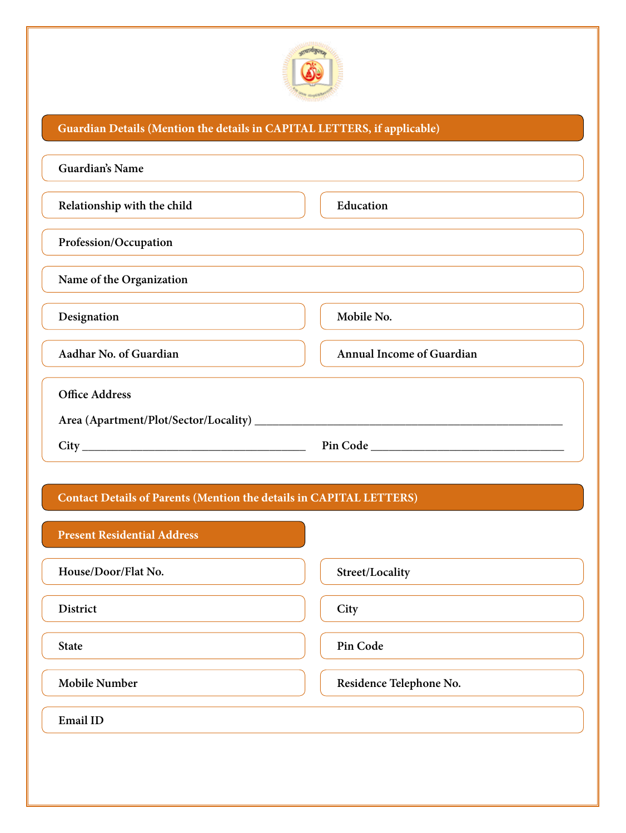

## **Guardian Details (Mention the details in CAPITAL LETTERS, if applicable)**

| Guardian's Name             |                                                                                                                                                                                                                                |
|-----------------------------|--------------------------------------------------------------------------------------------------------------------------------------------------------------------------------------------------------------------------------|
| Relationship with the child | Education                                                                                                                                                                                                                      |
| Profession/Occupation       |                                                                                                                                                                                                                                |
| Name of the Organization    |                                                                                                                                                                                                                                |
| Designation                 | Mobile No.                                                                                                                                                                                                                     |
| Aadhar No. of Guardian      | <b>Annual Income of Guardian</b>                                                                                                                                                                                               |
| <b>Office Address</b>       |                                                                                                                                                                                                                                |
|                             |                                                                                                                                                                                                                                |
| City                        | Pin Code and the Code of the Code of the Code of the Code of the Code of the Code of the Code of the Code of the Code of the Code of the Code of the Code of the Code of the Code of the Code of the Code of the Code of the C |

#### **Contact Details of Parents (Mention the details in CAPITAL LETTERS)**

| <b>Present Residential Address</b> |                         |
|------------------------------------|-------------------------|
| House/Door/Flat No.                | Street/Locality         |
| <b>District</b>                    | City                    |
| <b>State</b>                       | Pin Code                |
| <b>Mobile Number</b>               | Residence Telephone No. |
| <b>Email ID</b>                    |                         |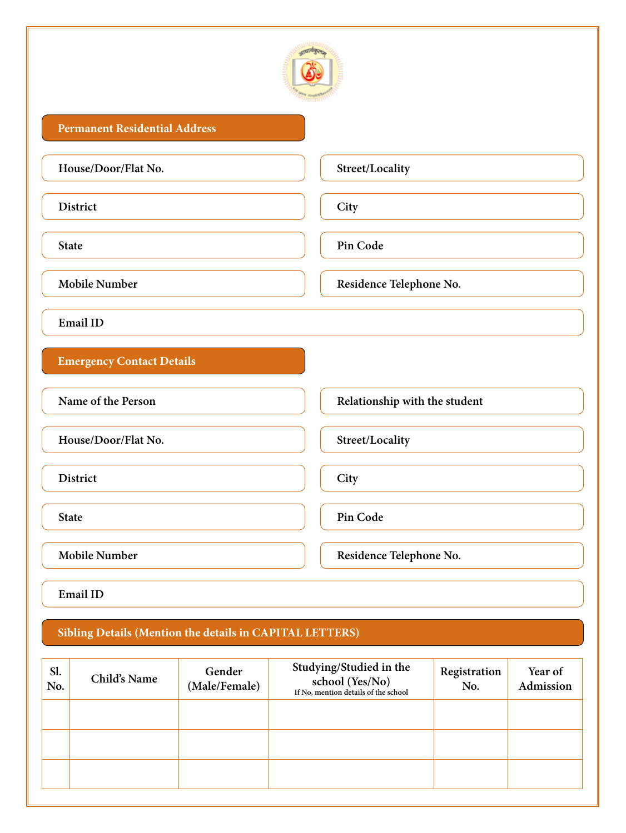

#### **Permanent Residential Address**

**Street/Locality**

**District**

**City**

**State**

**Pin Code**

**Mobile Number**

**Email ID**

**Emergency Contact Details**

**Name of the Person**

**House/Door/Flat No.**

**District**

**State**

**Pin Code**

**City**

**Street/Locality**

**Mobile Number**

**Residence Telephone No.**

**Relationship with the student**

**Residence Telephone No.**

**Email ID**

#### **Sibling Details (Mention the details in CAPITAL LETTERS)**

| Sl.<br>No. | Child's Name | Gender<br>(Male/Female) | Studying/Studied in the<br>school (Yes/No)<br>If No, mention details of the school | Registration<br>No. | Year of<br>Admission |
|------------|--------------|-------------------------|------------------------------------------------------------------------------------|---------------------|----------------------|
|            |              |                         |                                                                                    |                     |                      |
|            |              |                         |                                                                                    |                     |                      |
|            |              |                         |                                                                                    |                     |                      |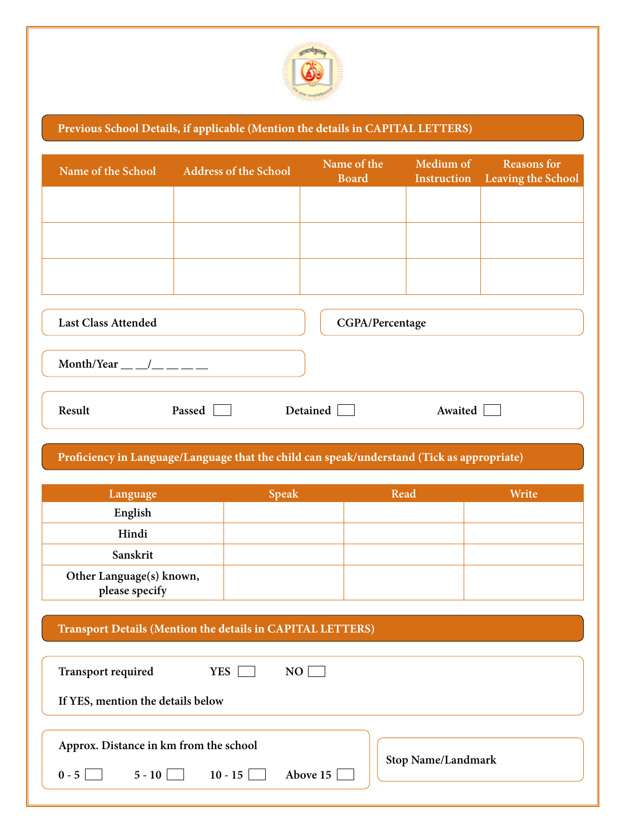

## **Previous School Details, if applicable (Mention the details in CAPITAL LETTERS)**

| Name of the School                                    | <b>Address of the School</b> | Name of the<br><b>Board</b> | Medium of<br>Instruction | <b>Reasons for</b><br>Leaving the School |
|-------------------------------------------------------|------------------------------|-----------------------------|--------------------------|------------------------------------------|
|                                                       |                              |                             |                          |                                          |
|                                                       |                              |                             |                          |                                          |
|                                                       |                              |                             |                          |                                          |
| <b>Last Class Attended</b><br>CGPA/Percentage         |                              |                             |                          |                                          |
| Month/Year $\_\_\_\_\_\_\_\_\_\_\_\_\_\_\_\_\_\_\_\_$ |                              |                             |                          |                                          |
| Result                                                | Passed                       | Detained                    | Awaited                  |                                          |
|                                                       |                              |                             |                          |                                          |

# **Proficiency in Language/Language that the child can speak/understand (Tick as appropriate)**

| Language                                   | <b>Speak</b> | Read | Write |
|--------------------------------------------|--------------|------|-------|
| English                                    |              |      |       |
| Hindi                                      |              |      |       |
| Sanskrit                                   |              |      |       |
| Other Language(s) known,<br>please specify |              |      |       |

#### **Transport Details (Mention the details in CAPITAL LETTERS)**

| <b>YES</b><br><b>Transport required</b><br>NO. |                           |
|------------------------------------------------|---------------------------|
| If YES, mention the details below              |                           |
|                                                |                           |
| Approx. Distance in km from the school         |                           |
| Above 15<br>$5 - 10$<br>$10 - 15$<br>$0 - 51$  | <b>Stop Name/Landmark</b> |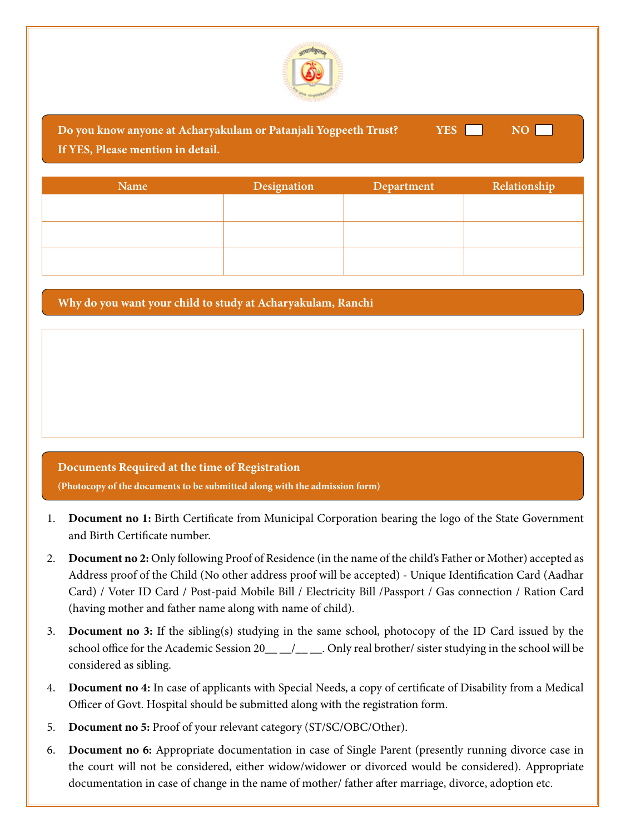

| Do you know anyone at Acharyakulam or Patanjali Yogpeeth Trust?<br>YES  <br>NO L<br>If YES, Please mention in detail. |             |            |              |
|-----------------------------------------------------------------------------------------------------------------------|-------------|------------|--------------|
| <b>Name</b>                                                                                                           | Designation | Department | Relationship |
|                                                                                                                       |             |            |              |

**Why do you want your child to study at Acharyakulam, Ranchi**

# **Documents Required at the time of Registration (Photocopy of the documents to be submitted along with the admission form)**

- 1. **Document no 1:** Birth Certificate from Municipal Corporation bearing the logo of the State Government and Birth Certificate number.
- 2. **Document no 2:** Only following Proof of Residence (in the name of the child's Father or Mother) accepted as Address proof of the Child (No other address proof will be accepted) - Unique Identification Card (Aadhar Card) / Voter ID Card / Post-paid Mobile Bill / Electricity Bill /Passport / Gas connection / Ration Card (having mother and father name along with name of child).
- 3. **Document no 3:** If the sibling(s) studying in the same school, photocopy of the ID Card issued by the school office for the Academic Session 20\_\_ \_/\_\_ \_. Only real brother/ sister studying in the school will be considered as sibling.
- 4. **Document no 4:** In case of applicants with Special Needs, a copy of certificate of Disability from a Medical Officer of Govt. Hospital should be submitted along with the registration form.
- 5. **Document no 5:** Proof of your relevant category (ST/SC/OBC/Other).
- 6. **Document no 6:** Appropriate documentation in case of Single Parent (presently running divorce case in the court will not be considered, either widow/widower or divorced would be considered). Appropriate documentation in case of change in the name of mother/ father after marriage, divorce, adoption etc.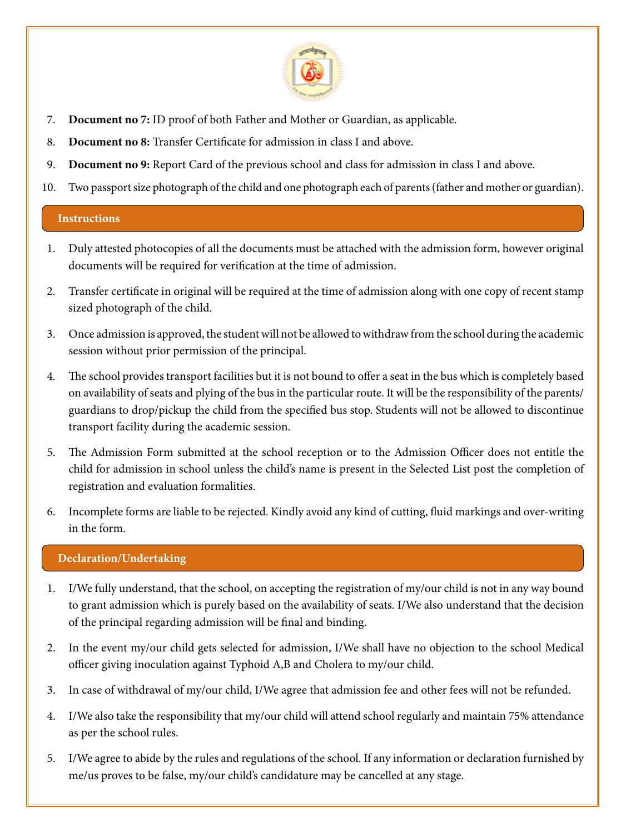

- 7. **Document no 7:** ID proof of both Father and Mother or Guardian, as applicable.
- 8. **Document no 8:** Transfer Certificate for admission in class I and above.
- 9. **Document no 9:** Report Card of the previous school and class for admission in class I and above.
- 10. Two passport size photograph of the child and one photograph each of parents (father and mother or guardian).

#### **Instructions**

- 1. Duly attested photocopies of all the documents must be attached with the admission form, however original documents will be required for verification at the time of admission.
- 2. Transfer certificate in original will be required at the time of admission along with one copy of recent stamp sized photograph of the child.
- 3. Once admission is approved, the student will not be allowed to withdraw from the school during the academic session without prior permission of the principal.
- 4. The school provides transport facilities but it is not bound to offer a seat in the bus which is completely based on availability of seats and plying of the bus in the particular route. It will be the responsibility of the parents/ guardians to drop/pickup the child from the specified bus stop. Students will not be allowed to discontinue transport facility during the academic session.
- 5. The Admission Form submitted at the school reception or to the Admission Officer does not entitle the child for admission in school unless the child's name is present in the Selected List post the completion of registration and evaluation formalities.
- 6. Incomplete forms are liable to be rejected. Kindly avoid any kind of cutting, fluid markings and over-writing in the form.

#### **Declaration/Undertaking**

- 1. I/We fully understand, that the school, on accepting the registration of my/our child is not in any way bound to grant admission which is purely based on the availability of seats. I/We also understand that the decision of the principal regarding admission will be final and binding.
- 2. In the event my/our child gets selected for admission, I/We shall have no objection to the school Medical officer giving inoculation against Typhoid A,B and Cholera to my/our child.
- 3. In case of withdrawal of my/our child, I/We agree that admission fee and other fees will not be refunded.
- 4. I/We also take the responsibility that my/our child will attend school regularly and maintain 75% attendance as per the school rules.
- 5. I/We agree to abide by the rules and regulations of the school. If any information or declaration furnished by me/us proves to be false, my/our child's candidature may be cancelled at any stage.